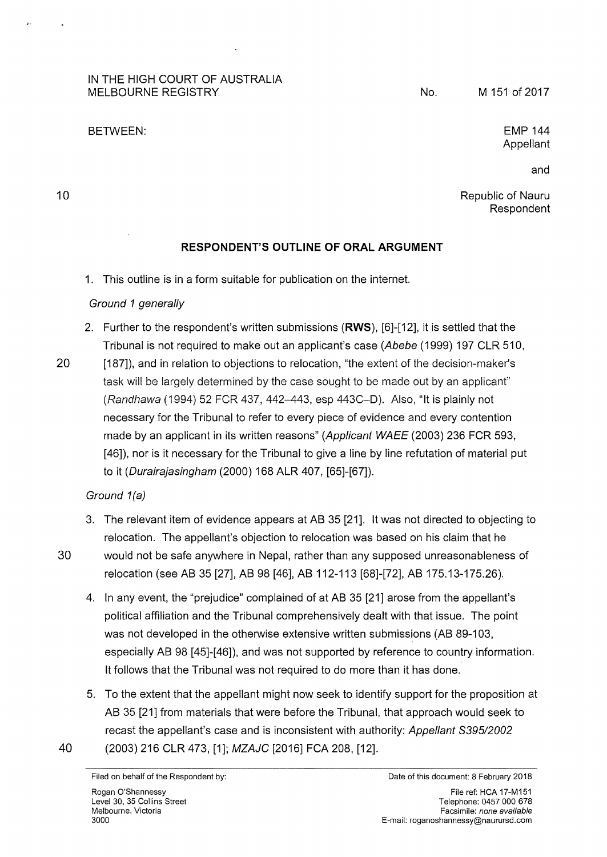### IN THE HIGH COURT OF AUSTRALIA MELBOURNE REGISTRY

#### BETWEEN:

No.

EMP 144 Appellant

10

Republic of Nauru

and

Respondent

# **RESPONDENT'S OUTLINE OF ORAL ARGUMENT**

1. This outline is in a form suitable for publication on the internet.

## Ground 1 generally

- 2. Further to the respondent's written submissions **(RWS),** [6]-[12], it is settled that the Tribunal is not required to make out an applicant's case (Abebe (1999) 197 CLR 510,
- 20 [187]), and in relation to objections to relocation, "the extent of the decision-maker's task will be largely determined by the case sought to be made out by an applicant" (Randhawa (1994) 52 FCR 437, 442-443, esp 443C-D). Also, "lt is plainly not necessary for the Tribunal to refer to every piece of evidence and every contention made by an applicant in its written reasons" (Applicant WAEE (2003) 236 FCR 593, [46]), nor is it necessary for the Tribunal to give a line by line refutation of material put to it (Durairajasingham (2000) 168 ALR 407, [65]-[67]).

## Ground 1(a)

- 3. The relevant item of evidence appears at AB 35 [21]. lt was not directed to objecting to relocation. The appellant's objection to relocation was based on his claim that he
- 30 would not be safe anywhere in Nepal, rather than any supposed unreasonableness of relocation (see AB 35 [27], AB 98 [46], AB 112-113 [68]-[72], AB 175.13-175.26).
	- 4. In any event, the "prejudice" complained of at AB 35 [21] arose from the appellant's political affiliation and the Tribunal comprehensively dealt with that issue. The point was not developed in the otherwise extensive written submissions (AB 89-103, especially AB 98 [45]-[46]), and was not supported by reference to country information. lt follows that the Tribunal was not required to do more than it has done.
- 5. To the extent that the appellant might now seek to identify support for the proposition at AB 35 [21] from materials that were before the Tribunal, that approach would seek to recast the appellant's case and is inconsistent with authority: Appellant 8395/2002 40 (2003) 216 CLR 473, [1]; MZAJC [2016] FCA 208, [12].

Filed on behalf of the Respondent by: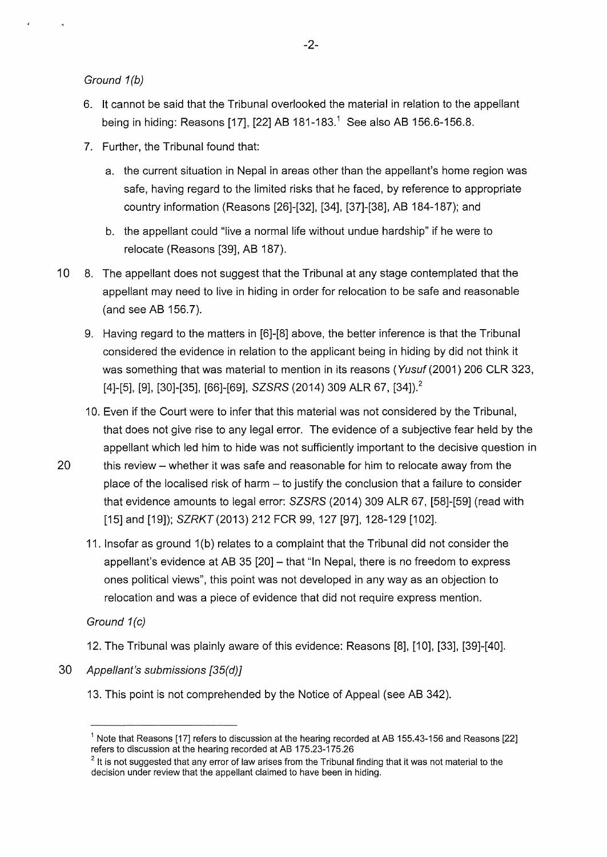Ground 1(b)

- 6. lt cannot be said that the Tribunal overlooked the material in relation to the appellant being in hiding: Reasons [17], [22] AB 181-183.<sup>1</sup> See also AB 156.6-156.8.
- 7. Further, the Tribunal found that:
	- a. the current situation in Nepal in areas other than the appellant's home region was safe, having regard to the limited risks that he faced, by reference to appropriate country information (Reasons [26]-[32], [34], [37]-[38], AB 184-187); and
	- b. the appellant could "live a normal life without undue hardship" if he were to relocate (Reasons [39], AB 187).
- 10 8. The appellant does not suggest that the Tribunal at any stage contemplated that the appellant may need to live in hiding in order for relocation to be safe and reasonable (and see AB 156.7).
	- 9. Having regard to the matters in [6]-[8] above, the better inference is that the Tribunal considered the evidence in relation to the applicant being in hiding by did not think it was something that was material to mention in its reasons (Yusuf (2001) 206 CLR 323, [4]-[5], [9], [30]-[35], [66]-[69], SZSRS (2014) 309 ALR 67, [34]).<sup>2</sup>
	- 10. Even if the Court were to infer that this material was not considered by the Tribunal, that does not give rise to any legal error. The evidence of a subjective fear held by the appellant which led him to hide was not sufficiently important to the decisive question in
- 20 this review- whether it was safe and reasonable for him to relocate away from the place of the localised risk of harm  $-$  to justify the conclusion that a failure to consider that evidence amounts to legal error: SZSRS (2014) 309 ALR 67, [58]-[59] (read with [15] and [19]); SZRKT (2013) 212 FCR 99, 127 [97], 128-129 [102].
	- 11. Insofar as ground 1 (b) relates to a complaint that the Tribunal did not consider the appellant's evidence at AB 35  $[20]$  – that "In Nepal, there is no freedom to express ones political views", this point was not developed in any way as an objection to relocation and was a piece of evidence that did not require express mention.

Ground 1(c)

12. The Tribunal was plainly aware of this evidence: Reasons [8], [1 0], [33], [39]-[40].

- 30 Appellant's submissions [35(d)]
	- 13. This point is not comprehended by the Notice of Appeal (see AB 342).

 $1$  Note that Reasons [17] refers to discussion at the hearing recorded at AB 155.43-156 and Reasons [22] refers to discussion at the hearing recorded at AB 175.23-175.26

 $2$  It is not suggested that any error of law arises from the Tribunal finding that it was not material to the decision under review that the appellant claimed to have been in hiding.